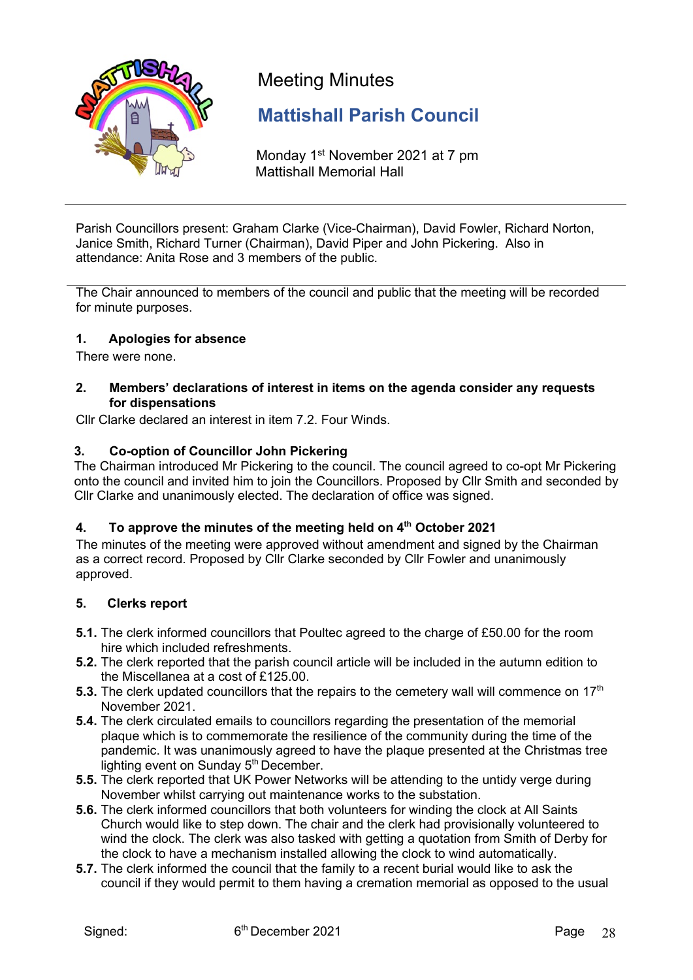

# Meeting Minutes

## **Mattishall Parish Council**

Monday 1<sup>st</sup> November 2021 at 7 pm Mattishall Memorial Hall

Parish Councillors present: Graham Clarke (Vice-Chairman), David Fowler, Richard Norton, Janice Smith, Richard Turner (Chairman), David Piper and John Pickering. Also in attendance: Anita Rose and 3 members of the public.

The Chair announced to members of the council and public that the meeting will be recorded for minute purposes.

## **1. Apologies for absence**

There were none.

## **2. Members' declarations of interest in items on the agenda consider any requests for dispensations**

Cllr Clarke declared an interest in item 7.2. Four Winds.

## **3. Co-option of Councillor John Pickering**

The Chairman introduced Mr Pickering to the council. The council agreed to co-opt Mr Pickering onto the council and invited him to join the Councillors. Proposed by Cllr Smith and seconded by Cllr Clarke and unanimously elected. The declaration of office was signed.

## **4. To approve the minutes of the meeting held on 4th October 2021**

The minutes of the meeting were approved without amendment and signed by the Chairman as a correct record. Proposed by Cllr Clarke seconded by Cllr Fowler and unanimously approved.

## **5. Clerks report**

- **5.1.** The clerk informed councillors that Poultec agreed to the charge of £50.00 for the room hire which included refreshments.
- **5.2.** The clerk reported that the parish council article will be included in the autumn edition to the Miscellanea at a cost of £125.00.
- **5.3.** The clerk updated councillors that the repairs to the cemetery wall will commence on 17<sup>th</sup> November 2021.
- **5.4.** The clerk circulated emails to councillors regarding the presentation of the memorial plaque which is to commemorate the resilience of the community during the time of the pandemic. It was unanimously agreed to have the plaque presented at the Christmas tree lighting event on Sunday  $5<sup>th</sup>$  December.
- **5.5.** The clerk reported that UK Power Networks will be attending to the untidy verge during November whilst carrying out maintenance works to the substation.
- **5.6.** The clerk informed councillors that both volunteers for winding the clock at All Saints Church would like to step down. The chair and the clerk had provisionally volunteered to wind the clock. The clerk was also tasked with getting a quotation from Smith of Derby for the clock to have a mechanism installed allowing the clock to wind automatically.
- **5.7.** The clerk informed the council that the family to a recent burial would like to ask the council if they would permit to them having a cremation memorial as opposed to the usual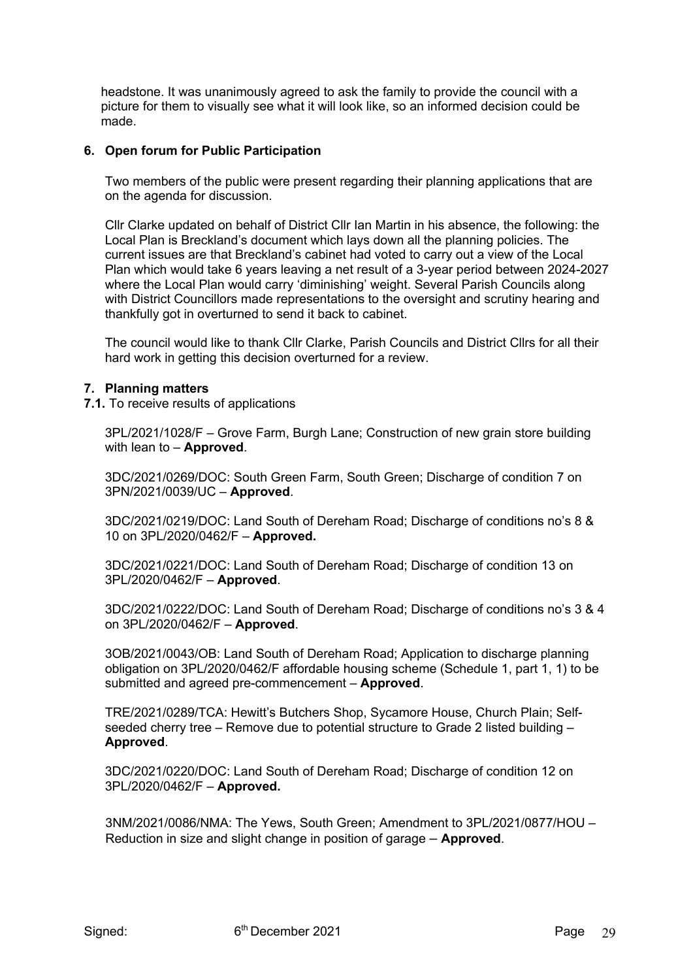headstone. It was unanimously agreed to ask the family to provide the council with a picture for them to visually see what it will look like, so an informed decision could be made.

## **6. Open forum for Public Participation**

Two members of the public were present regarding their planning applications that are on the agenda for discussion.

Cllr Clarke updated on behalf of District Cllr Ian Martin in his absence, the following: the Local Plan is Breckland's document which lays down all the planning policies. The current issues are that Breckland's cabinet had voted to carry out a view of the Local Plan which would take 6 years leaving a net result of a 3-year period between 2024-2027 where the Local Plan would carry 'diminishing' weight. Several Parish Councils along with District Councillors made representations to the oversight and scrutiny hearing and thankfully got in overturned to send it back to cabinet.

The council would like to thank Cllr Clarke, Parish Councils and District Cllrs for all their hard work in getting this decision overturned for a review.

## **7. Planning matters**

**7.1.** To receive results of applications

3PL/2021/1028/F – Grove Farm, Burgh Lane; Construction of new grain store building with lean to – **Approved**.

3DC/2021/0269/DOC: South Green Farm, South Green; Discharge of condition 7 on 3PN/2021/0039/UC – **Approved**.

3DC/2021/0219/DOC: Land South of Dereham Road; Discharge of conditions no's 8 & 10 on 3PL/2020/0462/F – **Approved.**

3DC/2021/0221/DOC: Land South of Dereham Road; Discharge of condition 13 on 3PL/2020/0462/F – **Approved**.

3DC/2021/0222/DOC: Land South of Dereham Road; Discharge of conditions no's 3 & 4 on 3PL/2020/0462/F – **Approved**.

3OB/2021/0043/OB: Land South of Dereham Road; Application to discharge planning obligation on 3PL/2020/0462/F affordable housing scheme (Schedule 1, part 1, 1) to be submitted and agreed pre-commencement – **Approved**.

TRE/2021/0289/TCA: Hewitt's Butchers Shop, Sycamore House, Church Plain; Selfseeded cherry tree – Remove due to potential structure to Grade 2 listed building – **Approved**.

3DC/2021/0220/DOC: Land South of Dereham Road; Discharge of condition 12 on 3PL/2020/0462/F – **Approved.**

 3NM/2021/0086/NMA: The Yews, South Green; Amendment to 3PL/2021/0877/HOU – Reduction in size and slight change in position of garage – **Approved**.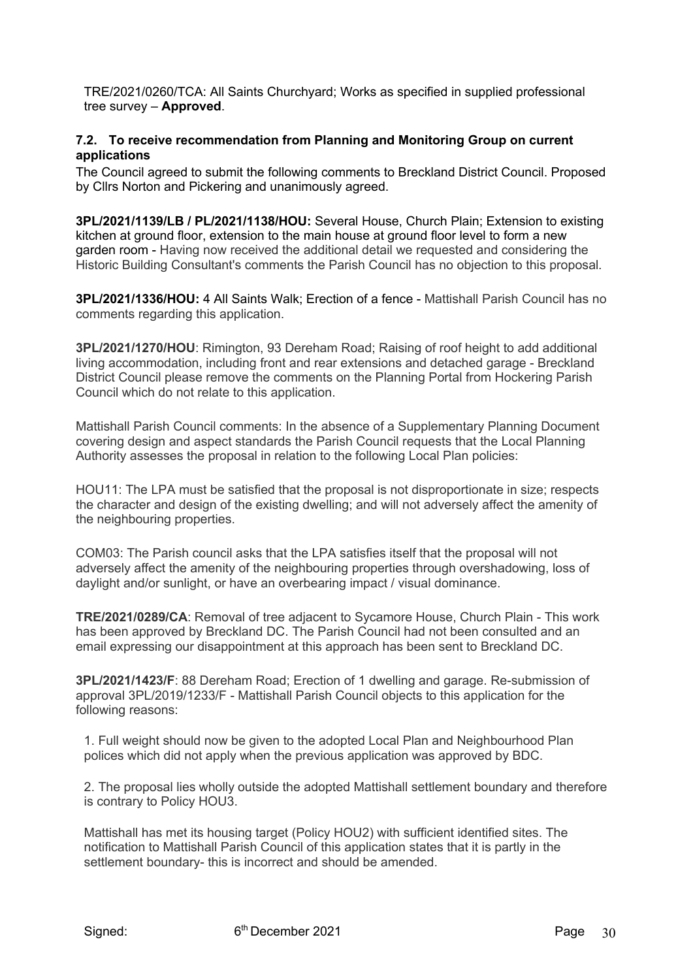TRE/2021/0260/TCA: All Saints Churchyard; Works as specified in supplied professional tree survey – **Approved**.

## **7.2. To receive recommendation from Planning and Monitoring Group on current applications**

The Council agreed to submit the following comments to Breckland District Council. Proposed by Cllrs Norton and Pickering and unanimously agreed.

**3PL/2021/1139/LB / PL/2021/1138/HOU:** Several House, Church Plain; Extension to existing kitchen at ground floor, extension to the main house at ground floor level to form a new garden room - Having now received the additional detail we requested and considering the Historic Building Consultant's comments the Parish Council has no objection to this proposal.

**3PL/2021/1336/HOU:** 4 All Saints Walk; Erection of a fence - Mattishall Parish Council has no comments regarding this application.

**3PL/2021/1270/HOU**: Rimington, 93 Dereham Road; Raising of roof height to add additional living accommodation, including front and rear extensions and detached garage - Breckland District Council please remove the comments on the Planning Portal from Hockering Parish Council which do not relate to this application.

Mattishall Parish Council comments: In the absence of a Supplementary Planning Document covering design and aspect standards the Parish Council requests that the Local Planning Authority assesses the proposal in relation to the following Local Plan policies:

HOU11: The LPA must be satisfied that the proposal is not disproportionate in size; respects the character and design of the existing dwelling; and will not adversely affect the amenity of the neighbouring properties.

COM03: The Parish council asks that the LPA satisfies itself that the proposal will not adversely affect the amenity of the neighbouring properties through overshadowing, loss of daylight and/or sunlight, or have an overbearing impact / visual dominance.

**TRE/2021/0289/CA**: Removal of tree adjacent to Sycamore House, Church Plain - This work has been approved by Breckland DC. The Parish Council had not been consulted and an email expressing our disappointment at this approach has been sent to Breckland DC.

**3PL/2021/1423/F**: 88 Dereham Road; Erection of 1 dwelling and garage. Re-submission of approval 3PL/2019/1233/F - Mattishall Parish Council objects to this application for the following reasons:

1. Full weight should now be given to the adopted Local Plan and Neighbourhood Plan polices which did not apply when the previous application was approved by BDC.

2. The proposal lies wholly outside the adopted Mattishall settlement boundary and therefore is contrary to Policy HOU3.

Mattishall has met its housing target (Policy HOU2) with sufficient identified sites. The notification to Mattishall Parish Council of this application states that it is partly in the settlement boundary- this is incorrect and should be amended.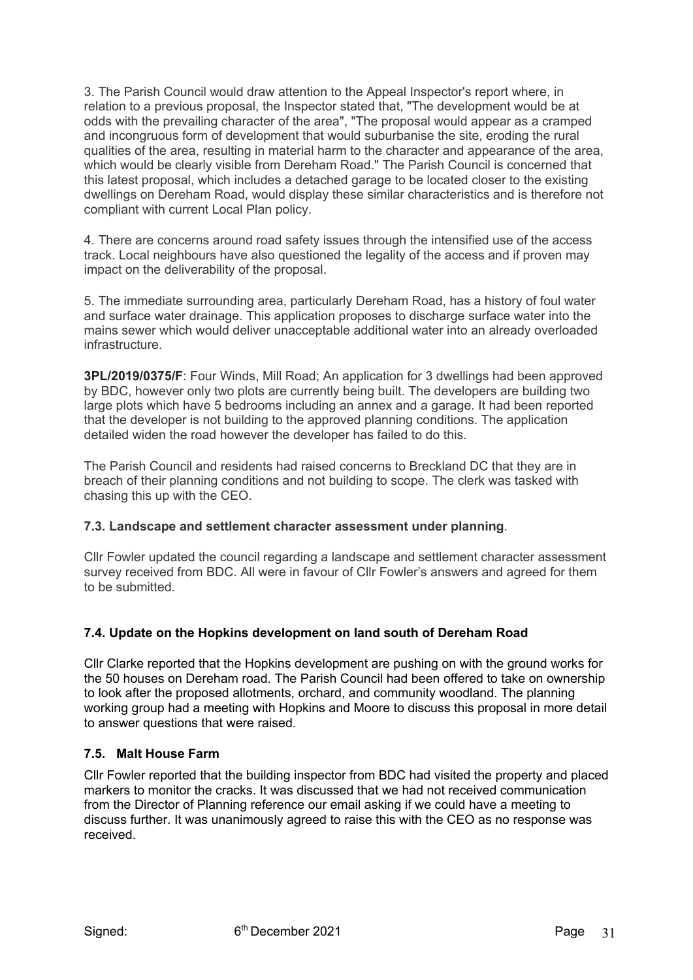3. The Parish Council would draw attention to the Appeal Inspector's report where, in relation to a previous proposal, the Inspector stated that, "The development would be at odds with the prevailing character of the area", "The proposal would appear as a cramped and incongruous form of development that would suburbanise the site, eroding the rural qualities of the area, resulting in material harm to the character and appearance of the area, which would be clearly visible from Dereham Road." The Parish Council is concerned that this latest proposal, which includes a detached garage to be located closer to the existing dwellings on Dereham Road, would display these similar characteristics and is therefore not compliant with current Local Plan policy.

4. There are concerns around road safety issues through the intensified use of the access track. Local neighbours have also questioned the legality of the access and if proven may impact on the deliverability of the proposal.

5. The immediate surrounding area, particularly Dereham Road, has a history of foul water and surface water drainage. This application proposes to discharge surface water into the mains sewer which would deliver unacceptable additional water into an already overloaded infrastructure.

**3PL/2019/0375/F**: Four Winds, Mill Road; An application for 3 dwellings had been approved by BDC, however only two plots are currently being built. The developers are building two large plots which have 5 bedrooms including an annex and a garage. It had been reported that the developer is not building to the approved planning conditions. The application detailed widen the road however the developer has failed to do this.

The Parish Council and residents had raised concerns to Breckland DC that they are in breach of their planning conditions and not building to scope. The clerk was tasked with chasing this up with the CEO.

## **7.3. Landscape and settlement character assessment under planning**.

Cllr Fowler updated the council regarding a landscape and settlement character assessment survey received from BDC. All were in favour of Cllr Fowler's answers and agreed for them to be submitted.

## **7.4. Update on the Hopkins development on land south of Dereham Road**

Cllr Clarke reported that the Hopkins development are pushing on with the ground works for the 50 houses on Dereham road. The Parish Council had been offered to take on ownership to look after the proposed allotments, orchard, and community woodland. The planning working group had a meeting with Hopkins and Moore to discuss this proposal in more detail to answer questions that were raised.

## **7.5. Malt House Farm**

Cllr Fowler reported that the building inspector from BDC had visited the property and placed markers to monitor the cracks. It was discussed that we had not received communication from the Director of Planning reference our email asking if we could have a meeting to discuss further. It was unanimously agreed to raise this with the CEO as no response was received.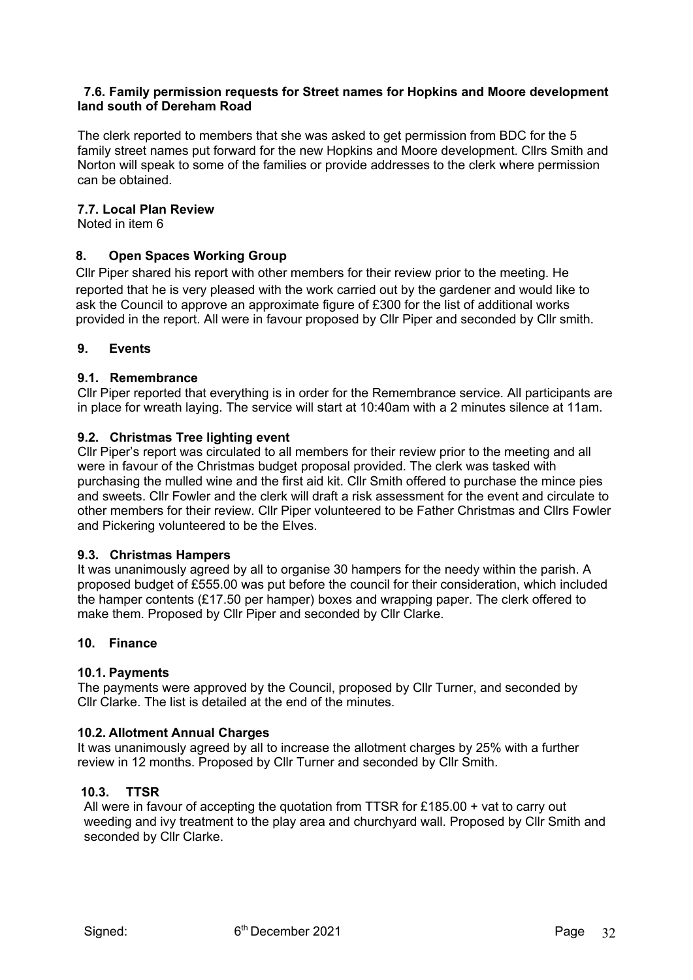#### **7.6. Family permission requests for Street names for Hopkins and Moore development land south of Dereham Road**

The clerk reported to members that she was asked to get permission from BDC for the 5 family street names put forward for the new Hopkins and Moore development. Cllrs Smith and Norton will speak to some of the families or provide addresses to the clerk where permission can be obtained.

### **7.7. Local Plan Review**

Noted in item 6

## **8. Open Spaces Working Group**

Cllr Piper shared his report with other members for their review prior to the meeting. He reported that he is very pleased with the work carried out by the gardener and would like to ask the Council to approve an approximate figure of £300 for the list of additional works provided in the report. All were in favour proposed by Cllr Piper and seconded by Cllr smith.

#### **9. Events**

#### **9.1. Remembrance**

Cllr Piper reported that everything is in order for the Remembrance service. All participants are in place for wreath laying. The service will start at 10:40am with a 2 minutes silence at 11am.

#### **9.2. Christmas Tree lighting event**

Cllr Piper's report was circulated to all members for their review prior to the meeting and all were in favour of the Christmas budget proposal provided. The clerk was tasked with purchasing the mulled wine and the first aid kit. Cllr Smith offered to purchase the mince pies and sweets. Cllr Fowler and the clerk will draft a risk assessment for the event and circulate to other members for their review. Cllr Piper volunteered to be Father Christmas and Cllrs Fowler and Pickering volunteered to be the Elves.

#### **9.3. Christmas Hampers**

It was unanimously agreed by all to organise 30 hampers for the needy within the parish. A proposed budget of £555.00 was put before the council for their consideration, which included the hamper contents (£17.50 per hamper) boxes and wrapping paper. The clerk offered to make them. Proposed by Cllr Piper and seconded by Cllr Clarke.

#### **10. Finance**

## **10.1. Payments**

The payments were approved by the Council, proposed by Cllr Turner, and seconded by Cllr Clarke. The list is detailed at the end of the minutes.

#### **10.2. Allotment Annual Charges**

It was unanimously agreed by all to increase the allotment charges by 25% with a further review in 12 months. Proposed by Cllr Turner and seconded by Cllr Smith.

## **10.3. TTSR**

All were in favour of accepting the quotation from TTSR for £185.00 + vat to carry out weeding and ivy treatment to the play area and churchyard wall. Proposed by Cllr Smith and seconded by Cllr Clarke.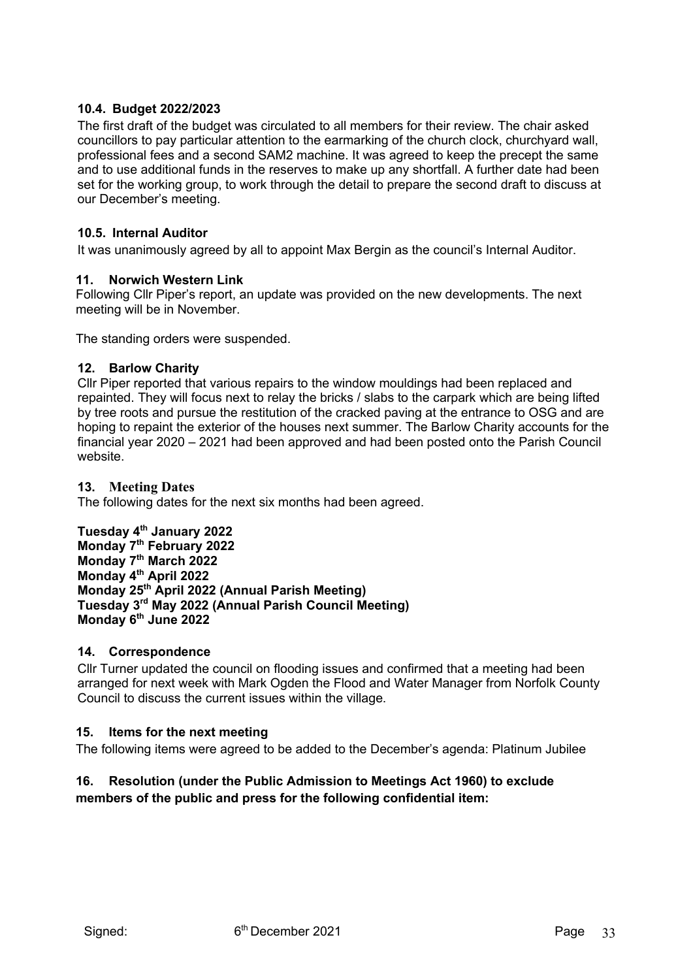## **10.4. Budget 2022/2023**

The first draft of the budget was circulated to all members for their review. The chair asked councillors to pay particular attention to the earmarking of the church clock, churchyard wall, professional fees and a second SAM2 machine. It was agreed to keep the precept the same and to use additional funds in the reserves to make up any shortfall. A further date had been set for the working group, to work through the detail to prepare the second draft to discuss at our December's meeting.

## **10.5. Internal Auditor**

It was unanimously agreed by all to appoint Max Bergin as the council's Internal Auditor.

## **11. Norwich Western Link**

Following Cllr Piper's report, an update was provided on the new developments. The next meeting will be in November.

The standing orders were suspended.

## **12. Barlow Charity**

Cllr Piper reported that various repairs to the window mouldings had been replaced and repainted. They will focus next to relay the bricks / slabs to the carpark which are being lifted by tree roots and pursue the restitution of the cracked paving at the entrance to OSG and are hoping to repaint the exterior of the houses next summer. The Barlow Charity accounts for the financial year 2020 – 2021 had been approved and had been posted onto the Parish Council website.

## **13. Meeting Dates**

The following dates for the next six months had been agreed.

**Tuesday 4th January 2022 Monday 7th February 2022 Monday 7th March 2022 Monday 4th April 2022 Monday 25th April 2022 (Annual Parish Meeting) Tuesday 3rd May 2022 (Annual Parish Council Meeting) Monday 6th June 2022** 

## **14. Correspondence**

Cllr Turner updated the council on flooding issues and confirmed that a meeting had been arranged for next week with Mark Ogden the Flood and Water Manager from Norfolk County Council to discuss the current issues within the village.

## **15. Items for the next meeting**

The following items were agreed to be added to the December's agenda: Platinum Jubilee

## **16. Resolution (under the Public Admission to Meetings Act 1960) to exclude members of the public and press for the following confidential item:**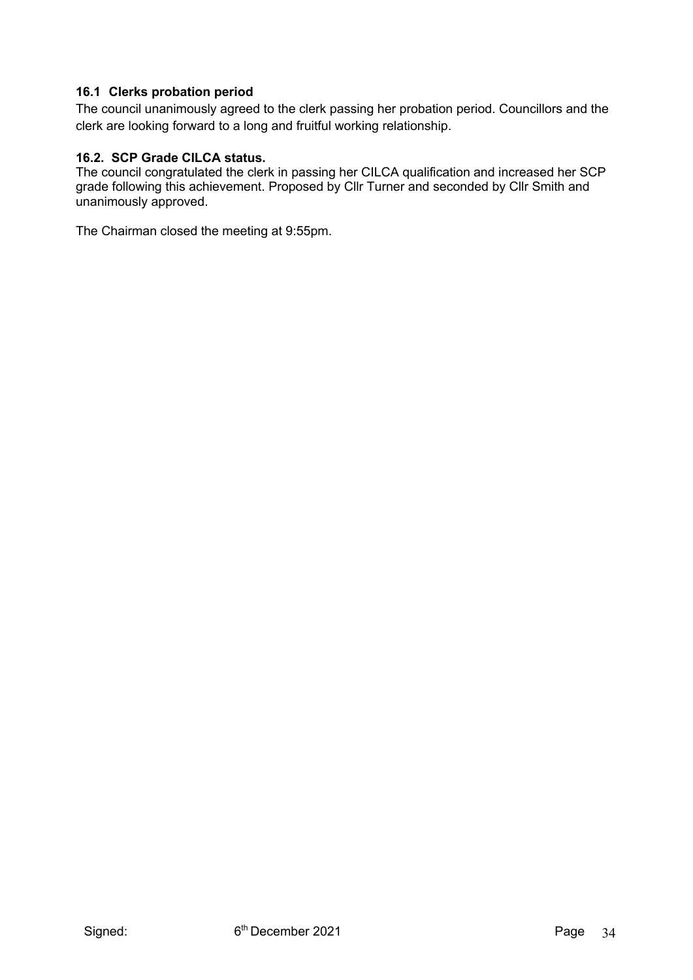## **16.1 Clerks probation period**

The council unanimously agreed to the clerk passing her probation period. Councillors and the clerk are looking forward to a long and fruitful working relationship.

## **16.2. SCP Grade CILCA status.**

The council congratulated the clerk in passing her CILCA qualification and increased her SCP grade following this achievement. Proposed by Cllr Turner and seconded by Cllr Smith and unanimously approved.

The Chairman closed the meeting at 9:55pm.